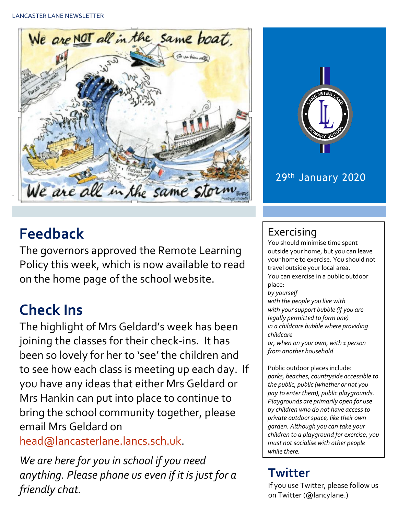

# **Feedback**

The governors approved the Remote Learning Policy this week, which is now available to read on the home page of the school website.

# **Check Ins**

The highlight of Mrs Geldard's week has been joining the classes for their check-ins. It has been so lovely for her to 'see' the children and to see how each class is meeting up each day. If you have any ideas that either Mrs Geldard or Mrs Hankin can put into place to continue to bring the school community together, please email Mrs Geldard on

[head@lancasterlane.lancs.sch.uk.](mailto:head@lancasterlane.lancs.sch.uk)

*We are here for you in school if you need anything. Please phone us even if it is just for a friendly chat.* 



### 29th January 2020

## Exercising

You should minimise time spent outside your home, but you can leave your home to exercise. You should not travel outside your local area. You can exercise in a public outdoor place: *by yourself with the people you live with*

*with your support bubble (if you are legally permitted to form one) in a childcare bubble where providing childcare*

*or, when on your own, with 1 person from another household*

Public outdoor places include: *parks, beaches, countryside accessible to the public, public (whether or not you pay to enter them), public playgrounds. Playgrounds are primarily open for use by children who do not have access to private outdoor space, like their own garden. Although you can take your children to a playground for exercise, you must not socialise with other people while there.*

## **Twitter**

If you use Twitter, please follow us on Twitter (@lancylane.)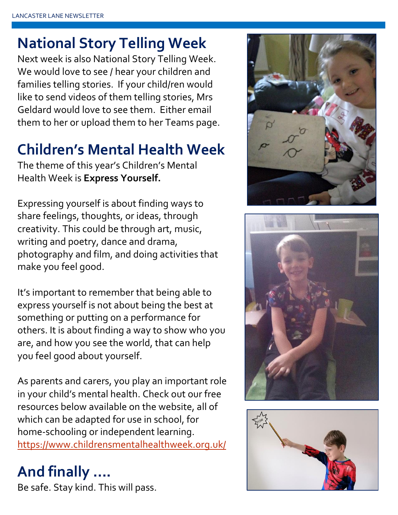# **National Story Telling Week**

Next week is also National Story Telling Week. We would love to see / hear your children and families telling stories. If your child/ren would like to send videos of them telling stories, Mrs Geldard would love to see them. Either email them to her or upload them to her Teams page.

# **Children's Mental Health Week**

The theme of this year's Children's Mental Health Week is **Express Yourself.**

Expressing yourself is about finding ways to share feelings, thoughts, or ideas, through creativity. This could be through art, music, writing and poetry, dance and drama, photography and film, and doing activities that make you feel good.

It's important to remember that being able to express yourself is not about being the best at something or putting on a performance for others. It is about finding a way to show who you are, and how you see the world, that can help you feel good about yourself.

As parents and carers, you play an important role in your child's mental health. Check out our free resources below available on the website, all of which can be adapted for use in school, for home-schooling or independent learning. <https://www.childrensmentalhealthweek.org.uk/>

# **And finally ….**

Be safe. Stay kind. This will pass.